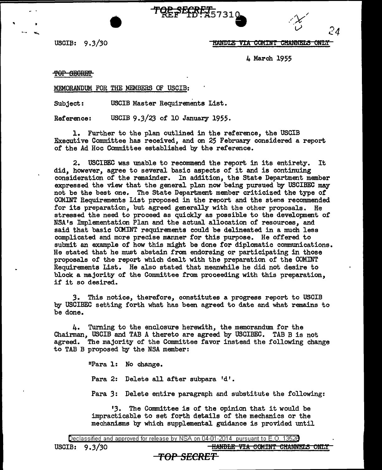USCIB: 9.3/30 **HANDLE VIA COMINT CHANNELS ONLY** 

*24* 

4 March 1955

TOP SECRET

..

MEMORANDUM FOR THE MEMBERS OF USCIB:

Subject: USCIB Master Requirements List.

Reference: USCIB *9.3/23* of 10 January 1955.

l. Further to the plan outlined in the reference, the USCIB Executive Committee has received, and on 25 February considered a report. of the Ad Hoc Committee established by the reference.

**TQE SECRET** 57310

2. USCIBEC was unable to recommend the report in its entirety. It did, however, agree to several basic aspects or it and is continuing consideration of the remainder. In addition, the State Department member expressed the view that the general plan now being pursued by USCIBEC may not be the best one. The State Department member criticized the type or COMINT Requirements List proposed in the report and the stens recommended for its preparation, but agreed generally with the other proposals. He stressed the need to proceed as quickly as possible to the development of NSA's Implementation Plan and the actual allocation of resources, and said that basic COMINT requirements could be delineated in a much less complicated and more precise manner for this purpose. He offered to submit an example of how this might be done for diplomatic communications. He stated that he must abstain from endorsing or participating in those proposals of the report which dealt with the preparation of the COMINT Requirements List. He also stated that meanwhile he did not desire to block a majority of the Committee from proceeding with this preparation, if it so desired.

*3.* This notice, therefore, constitutes a progress report to USCIB by USCIBEC setting forth what has been agreed to date and what remains to be done.

4. Turning to the enclosure herewith, the memorandum for the Chairman, USCIB and TAB A thereto are agreed by USCIBEC. TAB B is not agreed. The majority of the Committee favor instead the following change to TAB B proposed by the NSA member:

11Para l: No change.

Para 2: Delete all after subpara 'd'.

Para 3: Delete entire paragraph and substitute the following:

13. The Committee is of the opinion that it would be impracticable to set forth details of the mechanics or the mechanisms by which supplemental guidance is provided until

USCIB: 9.3/30 **blue and the Community of HANDLE VIA COMINT CHANNELS ONLY** 

## 'fOP *SECRET*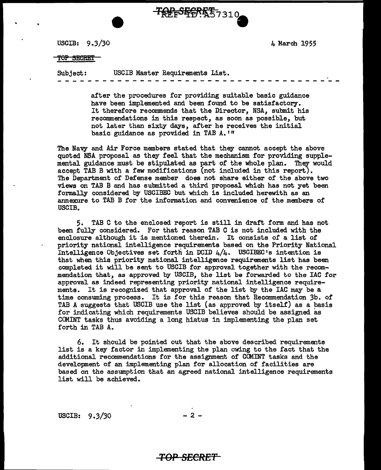USCIB: 9 *.3/30* 

4 March 1955

### TOP SECRET

Subject: USCIB Master Requirements List.

**TREFSERET57310** 

after the procedures for providing suitable basic guidance have been implemented and been found to be satisfactory. It therefore recommends that the Director, NSA, submit his recommendations in this respect, as soon as possible, but not later than sixty days, after he receives the initial basic guidance as provided in TAB A.<sup>1</sup>"

The Navy and Air Force members stated that they cannot accept the above quoted NSA proposal as they feel that the mechanism for providing supplemental guidance must be stipulated as part of the whole plan. They would accept TAB B with a few modifications (not included in this report). The Department of Defense member does not share either of the above two views on TAB B and has submitted a third proposal which has not yet been formally considered by USCIBEC but which is included herewith as an annexure to TAB B for the information and convenience of the members of USCIB.

5. TAB C to the enclosed report is still in draft form and has not been fully considered. For that reason TAB C is not included with the enclosure although it is mentioned therein. It consists of a list of priority national intelligence requirements based on the Priority National Intelligence Objectives set forth in DCID 4/4. USCIBEC•s intention is that when this priority national intelligence requirements list has been completed it will be sent to USCIB for approval together with the recommendation that, as approved by USCIB, the list be forwarded to the IAC for approval as indeed representing priority national intelligence requirements. It is recognized that approval of the list by the IAC may be a time consuming process. It is for this reason that Recommendation 3b. of TAB A suggests that USCIB use the list (as approved by itself) as a basis for indicating which requirements USCIB believes should be assigned as COMINT tasks thus avoiding a long hiatus in implementing the plan set forth in TAB A.

6. It should be pointed out that the above described requirements list is a key factor in implementing the plan owing to the fact that the additional recommendations for the assignment of COMINT tasks and the development of an implementing plan for allocation of facilities are based on the assumption that an agreed national intelligence requirements list will be achieved.

USCIB:  $9.3/30$  - 2 -

## **TOP SECRET**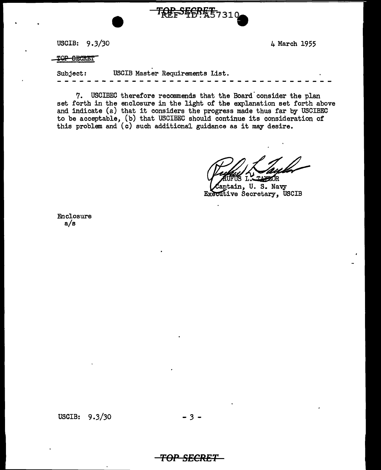USCIB: 9.3/30 4 March 1955

TOP-SECRET

Subject: USCIB Master Requirements List.

**TREFS&CREE**7310

7. USCIBEC therefore recommends that the Board' consider the plan set forth in the enclosure in the light of the explanation set forth above and indicate (a) that it considers the progress made thus far by USCIBEC to be acceptable, (b) that USCIBEC should continue its consideration of this problem and (c) such additional guidance as it may desire.

L. TAXZOR

aptain, U. S. Navy Executive Secretary, USCIB

Enclosure a/s

USCIB: 9.3/30 - *3* -

**TOP SECRET**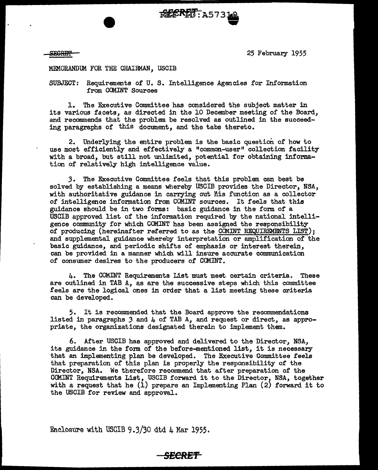SESmfl'

-- 25 February 1955 MEMORANDUM FOR THE CHAIRMAN, USCIB

SUBJECT: Requirements of U. S. Intelligence Agencies for Information from COMINT Sources

FORE RET: A57310

1. The Executive Committee has considered the subject matter in its various facets, as directed in the 10 December meeting of the Board, and recommends that the problem be resolved as outlined in the succeeding paragraphs of this document, and the tabs thereto.

2. Underlying the entire problem is the basic question of how to use most efficiently and effectively a "common-user" collection facility with a broad, but still not unlimited, potential for obtaining information of relatively high intelligence value.

*3.* The Executive Committee feels that this problem can best be solved by establishing a means whereby USCIB provides the Director, NSA, with authoritative guidance in carrying out his function as a collector of intelligence information from COMINT sources. It feels that this guidance should be in two forms: basic guidance in the form of a USCIB approved list of the information required by the national intelligence community for which COMINT has been assigned the responsibility of producing (hereinafter referred to as the CCMINT REQUIREMENTS LIST); and supplemental guidance whereby interpretation or amplification of the basic guidance, and periodic shifts of emphasis or interest therein, can be provided in a manner which will insure accurate communication of consumer desires to the producers of COMINT.

4. The COMINT Requirements List must meet certain criteria. These are outlined in TAB A, as are the successive steps which this committee feels are the logical ones in order that a list meeting these criteria can be developed.

5. It is recommended that the Board approve the recommendations listed in paragraphs *3* and 4 of TAB A, and request or direct, as appropriate, the organizations designated therein to implement them.

6. After USCIB has approved and delivered to the Director, NSA, its guidance in the form of the before-mentioned list, it is necessary that an implementing plan be developed. The Executive Committee feels that preparation of this plan is properly the responsibility or the Director, NSA. We therefore recommend that after preparation of the COMINT Requirements List, USCIB forward it to the Director, NSA, together with a request that he  $(1)$  prepare an Implementing Plan  $(2)$  forward it to the USCIB for review and approval.

Enclosure with USCIB 9.3/30 dtd  $\mu$  Mar 1955.

# **S£CRE'f**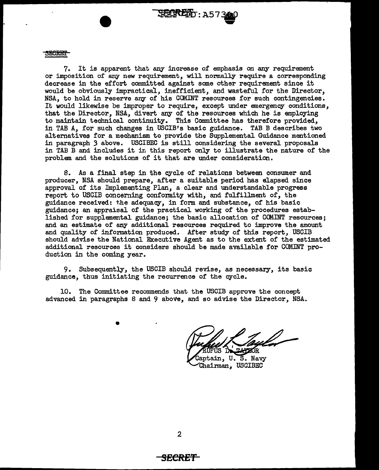

7. It is apparent that any increase of emphasis on any requirement or imposition of any new requirement, will normally require a corresponding decrease in the effort committed against some other requirement since it would be obviously impractical, inefficient, and wasteful for the Director, NSA, to hold in reserve any of his COMINT resources for such contingencies. It would likewise be improper to require, except under emergency conditions, that the Director, NSA, divert any of the resources which he is employing to maintain technical continuity. This Committee has therefore provided, in TAB A, for such changes in USGIB's basic guidance. TAB B describes two alternatives for a mechanism to provide the Supplemental Guidance mentioned in paragraph *3* above. USCIBEC is still considering the several proposals in TAB B and includes it ir, this report only to illustrate the nature of the problem and the solutions of it that are under consideration.

TELRETO: A5734

S. As a final step in the cycle of relations between consumer and producer, NSA should prepare, after a suitable period has elapsed since approval of its Implementing Plan, a clear and understandable progress report to USCIB concerning conformity with, and fulfillment of, the guidance received: the adequacy, in form and substance, of his basic guidance; an appraisal of the practical working or the procedures established for supplemental guidance; the basic allocation of COMINT resources; and an estimate of any additional resources required to improve the amount and quality or information produced. After study of this report, USCIB should advise the National Executive Agent as to the extent of the estimated additional resources it considers should be made available for COMINT production in the coming year.

9. Subsequently, the USCIB should revise, as necessary, its basic guidance, thus initiating the recurrence of the cycle.

10. The Committee recommends that the USCIB approve the concept advanced in paragraphs 8 and 9 above, and so advise the Director, NSA.

•

**ZOR** 

Captain, U. S. Navy Chairman, USCIBEC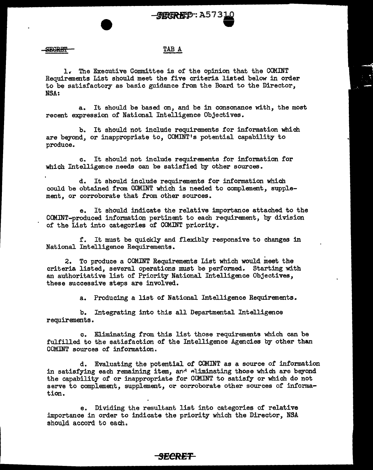## TAB A

1..- The Executive Committee is of the opinion that the COMINT Requirements List should meet the five criteria listed below in order to be satisfactory as basic guidance from the Board to the Director, NSA:

a. It should be based on, and be in consonance with, the most recent expression of National Intelligence Objectives.

b. It should not include requirements for information which are beyond, or inappropriate to, COMINT's potential capability to produce.

c. It should not include requirements for information for which Intelligence needs can be satisfied by other sources.

d. It should include requirements for information which could be obtained from COMINT which is needed to complement, supplement, or corroborate that from other sources.

e. It should indicate the relative importance attached to the COMINT-produced information pertinent to each requirement, by division of the List into categories of COM.INT priority.

r. It must be quickly and flexibly responsive to changes in National Intelligence Requirements.

2. To produce a COMINT Requirements List which would meet the criteria listed, several operations nmst be performed. Starting with an authoritative list of Priority National Intelligence Objectives, these successive steps are involved..

a. Producing a list of National Intelligence Requirements.

b. Integrating into this all Departmental Intelligence requirements.

o. Eliminating from this list those requirements which can be fulfilled to the satisfaction of the Intelligence Agencies by other than COMINT sources of information.

d. Evaluating the potential of COMINT as a source of information in satisfying each remaining item, and eliminating those which are beyond the capability of or inappropriate for COMINT to satisfy or which do not serve to complement, supplement, or corroborate other sources of information.

e. Dividing the resultant list into categories of relative importance in order to indicate the priority which the Director, NSA should accord to each.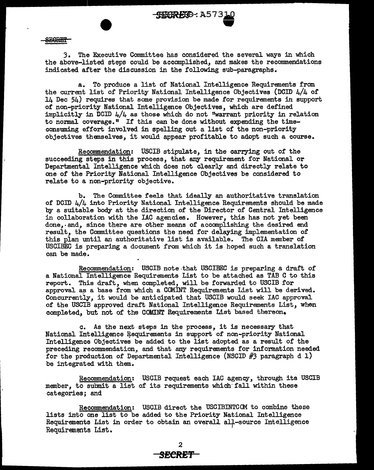

**SEGRET** 

3. The Executive Committee has considered the several ways in which the above-listed steps could be accomplished, and makes the recommendations indicated after the discussion in the following sub-paragraphs.

a. To produce a list of National Intelligence Requirements from the current list of Priority National Intelligence Objectives (DCID 4/4 of 14 Dec 54) requires that some provision be made for requirements in support of non-priority National Intelligence Objectives, which are defined implicitly in DCID 4/4 as those which do not "warrant priority in relation to normal coverage." If this can be done without expending the timeconsuming effort involved in spelling out a list of the non-priority objectives themselves, it would appear profitable to adopt such a course.

Recommendation: USCIB stipulate, in the carrying out of the succeeding steps in this process, that any requirement for National or Departmental Intelligence which does not clearly and directly relate to one of the Priority National Intelligence Objectives be considered to relate to a non-priority objective.

b. The Committee feels that ideally an authoritative translation of DCID 4/4 into Priority National Intelligence Requirements should be made by a suitable body at the direction of the Director of Central Intelligence in collaboration with the IAC agencies. However, this has not yet been done,· and, since there are other means of accomplishing the desired end result, the Committee questions the need for delaying implementation of this plan until an authoritative list is available. The CIA member of USCIBEC is preparing a document from which it is hoped such a translation can be made.

Recommendation: USCIB note that USCIBEC is preparing a draft of a National Intelligence Requirements List to be attached as TAB C to this report. This draft, when completed, will be forwarded to USCIB for approval as a base from which a COMINT Requirements List will be derived. Concurrently, it would be anticipated that USCIB would seek IAC approval of the USCIB approved draft National Intelligence Requirements List, when completed, but not of the COJAINT Requirements List based thereon.

c. As the next steps in the process, it is necessary- that National Intelligence Requirements in support of non-priority National Intelligence Objectives be added to the list adopted as a result of the preceding recommendation, and that any requirements for information needed for the production of Departmental Intelligence (NSCID  $#3$  paragraph d 1) be integrated with them.

Recommendation: USCIB request each IAC agency, through its USCIB member, to submit a list of its requirements which' fall within these categories; and

Recommendation: USCIB direct the USCIBINTCCM to combine these lists into one list to be added to the Priority National Intelligence Requirements List in order to obtain an overall all-source Intelligence Requirements List.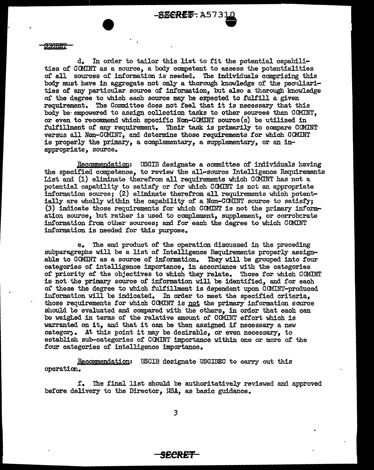d. In order to tailor this list to fit the potential capabilities of CCMINT as a source, a body competent to assess the potentialities of all sow~ces of information is needed. The individuals comprising this body must have in aggregate not only a thorough knowledge of the peculiarities of any particular source of information, but also a thorough knowledge of the degree to which each source may be expected to fulfill a given requirement. The Committee does not feel that it is necessary that this body be· empowered to assign collection tasks to other sources than COMINT, or even to recommend which specific  $Non-COMINT$  source $(s)$  be utilized in fulfillment of any requirement. Their task is primarily to compare COMINT versus all Non-COMINT, and determine those requirements for which COMINT is properly the primary, a complementary, a supplementary, or an inappropriate, source.

Recommendation: USCIB designate a committee of individuals having the specified competence, to review the all-source Intelligence Requirements List and {l) eliminate therefrom all requirements which CCMINT has not a potential capability to satisfy or for which CCMINT is not an appropriate information source;  $(2)$  eliminate therefrom all requirements which potentially are wholly within the capability of a Non-COMINT source to satisfy;  $(3)$  indicate those requirements for which CCMINT is not the primary information source, but rather is used to complement, supplement, or corrobcrate information from other sources; and for each the degree to which COMINT information is needed for this purpose.

e. The end product of' the operation discussed in the preceding subparagraphs will be a list of Intelligence Requirements properly assignable to CCMINT as a source of information. They will be grouped into four categories of intelligence importance, in accordance with the categories of priority of the objectives to which they relate. Those for which COMINT iu not the primary source of information will be identified, and for each of these the degree to which fulfillment is dependent upon COMINT-produced iuf'ormation will be indicated. In order to meet the specified criteria, those requirements for which CCMINT is not the primary information source should be evaluated and compared with the others, in order that each can be weighed in terms of the relative amount of COMINT effort which is warranted on it, and that it can be then assigned if necessary a new categorj. At this point it may be desirable, or even necessary, to establish sub-categories of CCMINT importance within one or more of the four categories of intelligence importance.

Recommendation: USCIB designate USCIBEC to carry out this operation.

r. The final list should be authoritatively reviewed and approved before delivery to the Director, USA, as basic guidance.

*3*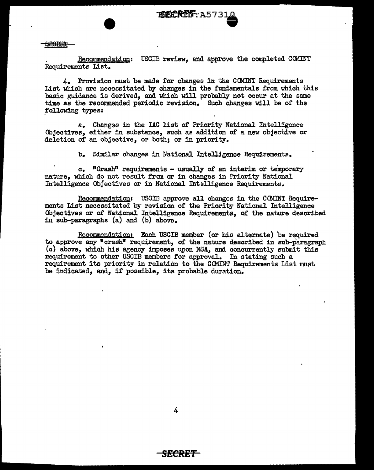## Si!l9RE'f

Recommendation: USCIB review, and approve the completed COMINT Requirements List.

4. Provision must be made for changes in the CCMINT Requirements List which are necessitated by changes in the fundamentals from which this basic guidance is derived, and which will probably not occur at the same time as the recommended periodic revision. Such changes will be of the .following types:

a. Changes in the IAC list of Priority National Intelligence Objectives, either in substance, such as addition of a new objective or deletion of an objective, or both; or in priority.

b. Similar changes in National Intelligence Requirements.

 $c.$  "Crash" requirements  $-$  usually of an interim or temporary nature, which do not result from or in changes in Priority National Intelligence Objectives or in National Int9lligence Requirements.

Recommendation: USCIB approve all changes in the COMINT Requirements List necessitated by revision of the Priority National Intelligence Objectives or of National Intelligence Requirements, of the nature described in sub-paragraphs (a) and (b) above.

Recommendation: Each USCIB member (or his alternate) be required to approve any "crash" requirement, of the nature described in sub-paragraph (c) above, which his agency imposes upon NSA, and concurrently submit this requirement to other USCIB members for approval. In stating such a requirement its priority in relation to the CCMINT Requirements List must be indicated, and, if possible, its probable duration.

4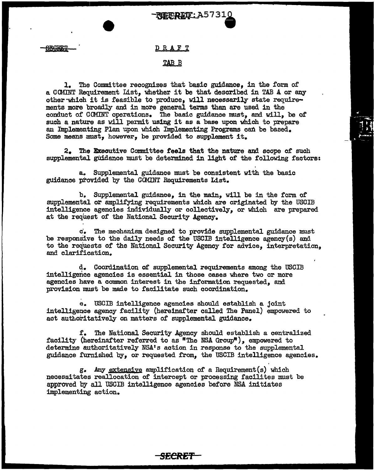### DRAFT

## TAB<sub>B</sub>

l. The Committee recognizes that basic guidance, in the form of' a COMINT Requirement List, whether it be that described in TAB A or any other which it is feasible to produce, will necessarily state requirements more broadly and in more general terms than are used in the conduct of CCMINT operations. The basic guidance must, and will, be of such a nature as will permit using it as a base upon which to prepare an Implementing Plan upon which Implementing Programs can be based. Some means must, however, be provided to supplement it.

2. The Executive Committee feels that the nature and scope of such supplemental guidance must be determined in light of the following factors:

a. Supplemental guidance must be consistent with the basic guidance provided by the GOMINT Requirements List.

b,. Supplemental guidance, in the main, will be in the form of supplemental or amplifying requirements which are originated by the USCIB intelligence agencies individually or collectively, or which are prepared at the request of the National Security Agency.

c. The mechanism designed to provide supplemental guidance must be responsive to the daily needs of the USCIB intelligence agency(s) and to the requests of the National Security Agency for advice, interpretation, and clarification.

d. Coordination of' supplemental requirements among the USCIB intelligerice agencies is essential in those cases where two or more agencies have a common interest in the information requested, and provision must be made to facilitate such coordination.

1:1. USCIB intelligence agencies should establish a joint intelligence agency facility (hereinafter called The Panel) empowered to act authoritatively on matters of supplemental guidance.

f. The National Security Agency should establish a centralized facility (hereinafter referred to as "The NSA Group"), empowered to determine authoritatively NSA<sup>1</sup> s action in response to the supplemental guidance furnished by, or requested from, the USCIB intelligence agencies.

g. Any extensive amplification of a Requirement(s) which necessitates reallocation of intercept or processing facilites must be approved by all USGIB intelligence agencies before NSA initiates implementing action.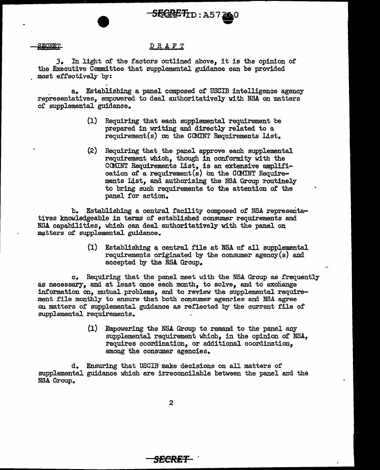**SECRET** 

### DRAFT

3. In light of the factors outlined above, it is the opinion of the Executive Committee that supplemental guidance can be provided most effectively by:

. a. Establishing a panel composed 0£ USCIB intelligence agency representatives, empowered to deal authoritatively with NSA on matters or supplemental guidance.

> (1) Requiring that each supplemental requirement be prepared in writing and directly related to a requirement(s) on the COMINT Requirements List.

S!iEIRiZ'li:n : AS 7 ao ..\_,

(2) Requiring that\_ the panel approve each supplemental requirement which, though in conformity with the COMINT Requirements List, is an extensive amplification of a requirement(s) on the CCMINT Requirements List, and authorizing the MSA Group routinely to bring such requirements to the attention of the panel for action.

b. Establishing a central facility composed of NSA representatives knowledgeable in terms of established consumer requirements and NSA capabilities, which can deal authoritatively with the panel on matters of supplemental guidance.

> (1) Establishing a central file at NSA of all supplemental requirements originated by the consumer agency(s) and accepted by the NSA Group.

c. Requiring that the panel meet with the NSA Group as frequently as necessary, and at least once each month, to solve, and to excliange information on, mutual problems, and to review the supplemental requirement file monthly to ensure that both consumer agencies and NSA agree 011 matters of supplemental guidance as reflected by the current file of supplemental requirements.

> (1) Empowering the NSA Group to remand to the panel any supplemental requirement which, in the opinion of NSA, requires coordination, or additional coordination, among the consumer agencies.

d. Ensuring that USCIB make decisions on all matters of supplemental guidance which are irreconcilable between the panel and the NSA Group.

2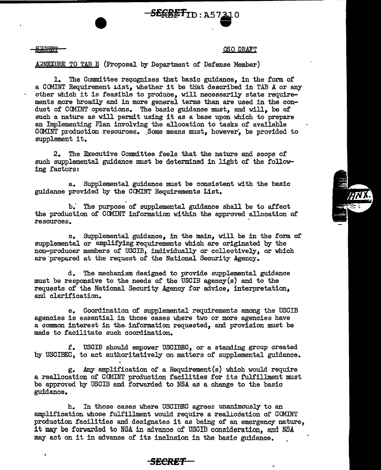$-$ *SERRET* ID : A5 )<br>상

<u>SECRET</u>

### aso DRAFT

ANNEXURE TO TAB B (Proposal by Department of Defense Member)

1. The Committee recognizes that basic guidance, in the form of a COMINT Requirement List, whether it be that described in TAB A or any other which it is feasible to produce, will necessarily state requirements more broadly and in more general terms than are used in the conduct of CCMINT operations. The basic guidance must, and will, be of such a nature as will permit using it as a base upon which to prepare an Implementing Plan involving the allocation to tasks of available COMINT production resources. Some means must, however, be provided to supplement it.

2. The Executive Committee feels that the nature and scope of such supplemental guidance must be determined in light of the following factors:

a. Supplemental guidance must be consistent with the basic guidance provided by the COMINT Requirements List.

b." The purpose of supplemental guidance shall be to affect the production of COMINT information within the approved allocation of resources.

c. Supplemental guidance, in the main, will be in the form of supplemental or amplifying requirements which are originated by the non-producer members of USCIB, individually or collectively, or which are prepared at the request of the National Security Agency.

d. The mechanism designed to provide supplemental guidance must be responsive to the needs of the USCIB agency(s) and to the requests of the National Security Agency for advice, interpretation, and clarification.

e. Coordination of supplemental requirements among the USCIB agencies is essential in those cases where two or more agencies have a common interest in the information requested, and provision must be made to facilitate such coordination.

f. USCIB should empower USCIBEC, or a standing group created by USCIBEC, to act authoritatively on matters of supplemental guidance.

g. Any amplification of a Requirement(s) which would require a reallocation of COMINT production facilities for its fulfillment must be approved by USCIB and forwarded to NSA as a change to the basic guidance.

h. In those cases where USCIBEC agrees unanimously to an amplification whose fulfillment would require a realiocation of COMINT production facilities and designates it as being of an emergency nature, it may be forwarded to NSA in advance of USCIB consideration, and NSA may act on it in advance of its inclusion in the basic guidance.



*SECRET*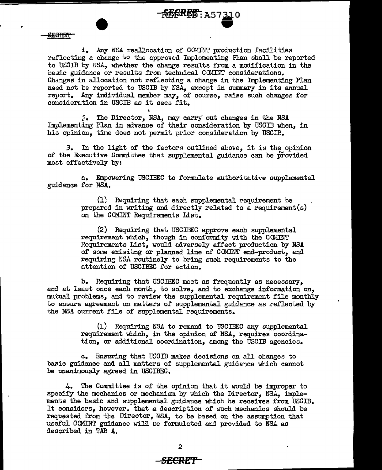**fEFRET: A57310** 

**HOHOT** 

i. Any NSA reallocation of COMINT production facilities reflecting a change to the approved Implementing Plan shall be reported to USCIB by NSA, whether the change results from a modification in the basic guidance or results from technical COMINT considerations. Changes in allocation not reflecting a change in the Implementing Plan need not be reported to USCIB by NSA, except in summary in its annual reyort. Any individual member may, of course, raise such changes for consideration in USCIB as it sees fit.

j. The Director, NSA, may carry out changes in the NSA Implementing Plan in advance of their consideration by USCIB when, in his opinion, time does not permit prior consideration by USCIB.

3. In the light of the factors outlined above, it is the opinion of the Executive Committee that supplemental guidance can be provided most effectively by:

a. Empowering USCIBEC to formulate authoritative supplemental guidance for NSA.

> (1) Requiring that each supplemental requirement be prepared in writing and directly related to a requirement(s) on the GCMINT Requirements List.

(2) Requiring that USCIDEC approve each supplemental requirement which, though in conformity with the COMINT Requirements List, would adversely affect production by NSA of some exisitng or planned line of COMINT end-product, and requiring NSA routinely to bring such requirements to the attention of USCIBEC for action.

1>. Requiring that USCIBEG meet as frequently as necessary, and at least once each month, to solve, and to exchange information on, mutual problems, and to review the supplemental requirement file monthly to ensure agreement on matters of supplemental guidance as reflected by the NSA current file of supplemental requirements.

> (1) Requiring NSA to remand to USCIBEC any supplemental requirement which, in the opinion of NSA, requires coordination, or additional coordination, among the USCIB agencies.

c. Ensuring that USCIB makes decisions on all changes to basic guidance and all matters of supplemental guidance which cannot be unanimously agreed in USCIBEC.

4. The Committee is of the opinion that it would be improper to specify the mechanics or mechanism by which the Director, NSA, implements the 'basic and supplemental guidance which he receives from USCIB. It considers, however. that a description of such mechanics should be requested from the Director, NSA, to be based on the assumption that useful GCMINT guidance will ne formulated and provided to NSA as described in TAB A.